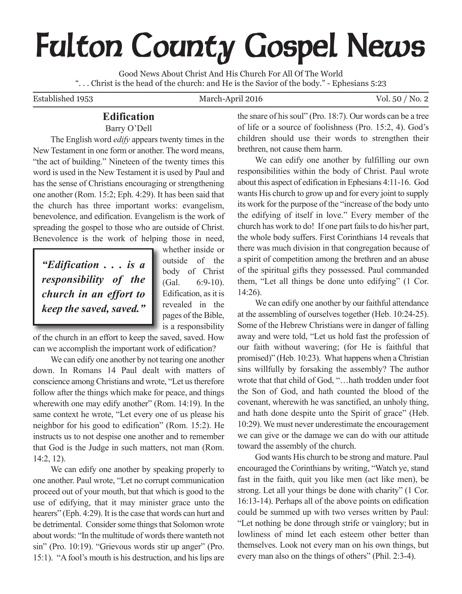# **Fulton County Gospel News**

Good News About Christ And His Church For All Of The World ". . . Christ is the head of the church: and He is the Savior of the body." - Ephesians 5:23

# Established 1953 March-April 2016 Vol. 50 / No. 2

# **Edification**

Barry O'Dell

The English word *edify* appears twenty times in the New Testament in one form or another. The word means, "the act of building." Nineteen of the twenty times this word is used in the New Testament it is used by Paul and has the sense of Christians encouraging or strengthening one another (Rom. 15:2; Eph. 4:29). It has been said that the church has three important works: evangelism, benevolence, and edification. Evangelism is the work of spreading the gospel to those who are outside of Christ. Benevolence is the work of helping those in need,

*"Edification . . . is a responsibility of the church in an effort to keep the saved, saved."*

whether inside or outside of the body of Christ (Gal. 6:9-10). Edification, as it is revealed in the pages of the Bible, is a responsibility

of the church in an effort to keep the saved, saved. How can we accomplish the important work of edification?

We can edify one another by not tearing one another down. In Romans 14 Paul dealt with matters of conscience among Christians and wrote, "Let us therefore follow after the things which make for peace, and things wherewith one may edify another" (Rom. 14:19). In the same context he wrote, "Let every one of us please his neighbor for his good to edification" (Rom. 15:2). He instructs us to not despise one another and to remember that God is the Judge in such matters, not man (Rom. 14:2, 12).

We can edify one another by speaking properly to one another. Paul wrote, "Let no corrupt communication proceed out of your mouth, but that which is good to the use of edifying, that it may minister grace unto the hearers" (Eph. 4:29). It is the case that words can hurt and be detrimental. Consider some things that Solomon wrote about words: "In the multitude of words there wanteth not sin" (Pro. 10:19). "Grievous words stir up anger" (Pro. 15:1). "A fool's mouth is his destruction, and his lips are the snare of hissoul" (Pro. 18:7). Our words can be a tree of life or a source of foolishness (Pro. 15:2, 4). God's children should use their words to strengthen their brethren, not cause them harm.

We can edify one another by fulfilling our own responsibilities within the body of Christ. Paul wrote about this aspect of edification in Ephesians 4:11-16. God wants His church to grow up and for every joint to supply its work for the purpose of the "increase of the body unto the edifying of itself in love." Every member of the church has work to do! If one part fails to do his/her part, the whole body suffers. First Corinthians 14 reveals that there was much division in that congregation because of a spirit of competition among the brethren and an abuse of the spiritual gifts they possessed. Paul commanded them, "Let all things be done unto edifying" (1 Cor. 14:26).

We can edify one another by our faithful attendance at the assembling of ourselves together (Heb. 10:24-25). Some of the Hebrew Christians were in danger of falling away and were told, "Let us hold fast the profession of our faith without wavering; (for He is faithful that promised)" (Heb. 10:23). What happens when a Christian sins willfully by forsaking the assembly? The author wrote that that child of God, "…hath trodden under foot the Son of God, and hath counted the blood of the covenant, wherewith he was sanctified, an unholy thing, and hath done despite unto the Spirit of grace" (Heb. 10:29). We must never underestimate the encouragement we can give or the damage we can do with our attitude toward the assembly of the church.

God wants His church to be strong and mature. Paul encouraged the Corinthians by writing, "Watch ye, stand fast in the faith, quit you like men (act like men), be strong. Let all your things be done with charity" (1 Cor. 16:13-14). Perhaps all of the above points on edification could be summed up with two verses written by Paul: "Let nothing be done through strife or vainglory; but in lowliness of mind let each esteem other better than themselves. Look not every man on his own things, but every man also on the things of others" (Phil. 2:3-4).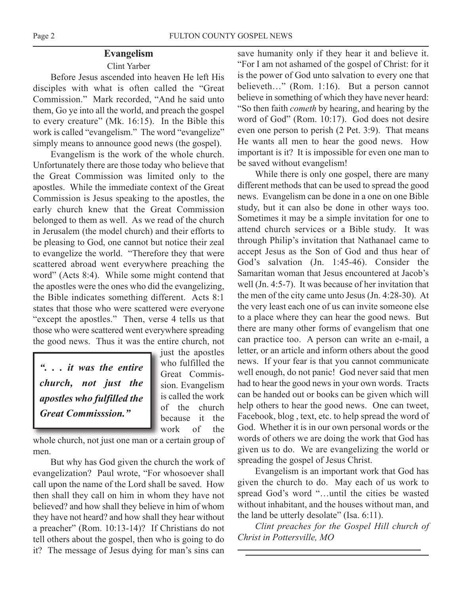# **Evangelism**

# Clint Yarber

Before Jesus ascended into heaven He left His disciples with what is often called the "Great Commission." Mark recorded, "And he said unto them, Go ye into all the world, and preach the gospel to every creature" (Mk. 16:15). In the Bible this work is called "evangelism." The word "evangelize" simply means to announce good news (the gospel).

Evangelism is the work of the whole church. Unfortunately there are those today who believe that the Great Commission was limited only to the apostles. While the immediate context of the Great Commission is Jesus speaking to the apostles, the early church knew that the Great Commission belonged to them as well. As we read of the church in Jerusalem (the model church) and their efforts to be pleasing to God, one cannot but notice their zeal to evangelize the world. "Therefore they that were scattered abroad went everywhere preaching the word" (Acts 8:4). While some might contend that the apostles were the ones who did the evangelizing, the Bible indicates something different. Acts 8:1 states that those who were scattered were everyone "except the apostles." Then, verse 4 tells us that those who were scattered went everywhere spreading the good news. Thus it was the entire church, not

*". . . it was the entire church, not just the apostles who fulfilled the Great Commisssion."*

just the apostles who fulfilled the Great Commission. Evangelism is called the work of the church because it the work of the

whole church, not just one man or a certain group of men.

But why has God given the church the work of evangelization? Paul wrote, "For whosoever shall call upon the name of the Lord shall be saved. How then shall they call on him in whom they have not believed? and how shall they believe in him of whom they have not heard? and how shall they hear without a preacher" (Rom. 10:13-14)? If Christians do not tell others about the gospel, then who is going to do it? The message of Jesus dying for man's sins can

save humanity only if they hear it and believe it. "For I am not ashamed of the gospel of Christ: for it is the power of God unto salvation to every one that believeth…" (Rom. 1:16). But a person cannot believe in something of which they have never heard: "So then faith *cometh* by hearing, and hearing by the word of God" (Rom. 10:17). God does not desire even one person to perish (2 Pet. 3:9). That means He wants all men to hear the good news. How important is it? It is impossible for even one man to be saved without evangelism!

While there is only one gospel, there are many different methods that can be used to spread the good news. Evangelism can be done in a one on one Bible study, but it can also be done in other ways too. Sometimes it may be a simple invitation for one to attend church services or a Bible study. It was through Philip's invitation that Nathanael came to accept Jesus as the Son of God and thus hear of God's salvation (Jn. 1:45-46). Consider the Samaritan woman that Jesus encountered at Jacob's well (Jn. 4:5-7). It was because of her invitation that the men of the city came unto Jesus (Jn. 4:28-30). At the very least each one of us can invite someone else to a place where they can hear the good news. But there are many other forms of evangelism that one can practice too. A person can write an e-mail, a letter, or an article and inform others about the good news. If your fear is that you cannot communicate well enough, do not panic! God never said that men had to hear the good news in your own words. Tracts can be handed out or books can be given which will help others to hear the good news. One can tweet, Facebook, blog , text, etc. to help spread the word of God. Whether it is in our own personal words or the words of others we are doing the work that God has given us to do. We are evangelizing the world or spreading the gospel of Jesus Christ.

Evangelism is an important work that God has given the church to do. May each of us work to spread God's word "…until the cities be wasted without inhabitant, and the houses without man, and the land be utterly desolate" (Isa. 6:11).

*Clint preaches for the Gospel Hill church of Christ in Pottersville, MO*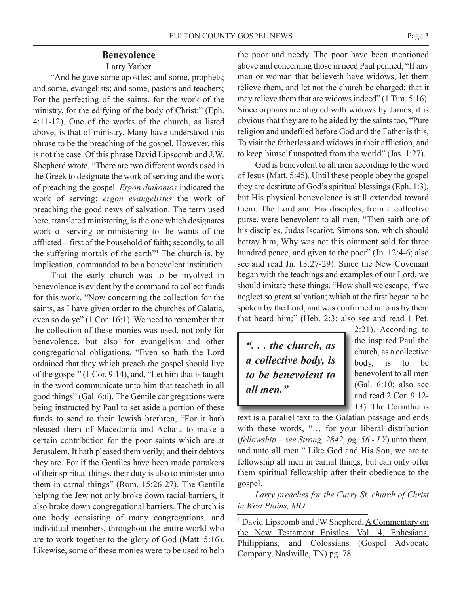Larry Yarber

"And he gave some apostles; and some, prophets; and some, evangelists; and some, pastors and teachers; For the perfecting of the saints, for the work of the ministry, for the edifying of the body of Christ:" (Eph. 4:11-12). One of the works of the church, as listed above, is that of ministry. Many have understood this phrase to be the preaching of the gospel. However, this is not the case. Of this phrase David Lipscomb and J.W. Shepherd wrote, "There are two different words used in the Greek to designate the work of serving and the work of preaching the gospel. *Ergon diakonios* indicated the work of serving; *ergon evangelistes* the work of preaching the good news of salvation. The term used here, translated ministering, is the one which designates work of serving or ministering to the wants of the afflicted – first of the household of faith; secondly, to all the suffering mortals of the earth"1 The church is, by implication, commanded to be a benevolent institution.

That the early church was to be involved in benevolence is evident by the command to collect funds for this work, "Now concerning the collection for the saints, as I have given order to the churches of Galatia, even so do ye" (1 Cor. 16:1). We need to remember that the collection of these monies was used, not only for benevolence, but also for evangelism and other congregational obligations, "Even so hath the Lord ordained that they which preach the gospel should live of the gospel" (1 Cor. 9:14), and, "Let him that is taught in the word communicate unto him that teacheth in all good things" (Gal. 6:6). The Gentile congregations were being instructed by Paul to set aside a portion of these funds to send to their Jewish brethren, "For it hath pleased them of Macedonia and Achaia to make a certain contribution for the poor saints which are at Jerusalem. It hath pleased them verily; and their debtors they are. For if the Gentiles have been made partakers of their spiritual things, their duty is also to minister unto them in carnal things" (Rom. 15:26-27). The Gentile helping the Jew not only broke down racial barriers, it also broke down congregational barriers. The church is one body consisting of many congregations, and individual members, throughout the entire world who are to work together to the glory of God (Matt. 5:16). Likewise, some of these monies were to be used to help

the poor and needy. The poor have been mentioned above and concerning those in need Paul penned, "If any man or woman that believeth have widows, let them relieve them, and let not the church be charged; that it may relieve them that are widows indeed" (1 Tim. 5:16). Since orphans are aligned with widows by James, it is obvious that they are to be aided by the saints too, "Pure religion and undefiled before God and the Father is this, To visit the fatherless and widows in their affliction, and to keep himself unspotted from the world" (Jas. 1:27).

God is benevolent to all men according to the word of Jesus (Matt. 5:45). Until these people obey the gospel they are destitute of God's spiritual blessings (Eph. 1:3), but His physical benevolence is still extended toward them. The Lord and His disciples, from a collective purse, were benevolent to all men, "Then saith one of his disciples, Judas Iscariot, Simons son, which should betray him, Why was not this ointment sold for three hundred pence, and given to the poor" (Jn. 12:4-6; also see and read Jn. 13:27-29). Since the New Covenant began with the teachings and examples of our Lord, we should imitate these things, "How shall we escape, if we neglect so great salvation; which at the first began to be spoken by the Lord, and was confirmed unto us by them that heard him;" (Heb. 2:3; also see and read 1 Pet.

*". . . the church, as a collective body, is to be benevolent to all men."*

2:21). According to the inspired Paul the church, as a collective body, is to be benevolent to all men (Gal. 6:10; also see and read 2 Cor. 9:12- 13). The Corinthians

text is a parallel text to the Galatian passage and ends with these words, "… for your liberal distribution (*fellowship – see Strong, 2842, pg. 56 - LY*) unto them, and unto all men." Like God and His Son, we are to fellowship all men in carnal things, but can only offer them spiritual fellowship after their obedience to the gospel.

*Larry preaches for the Curry St. church of Christ in West Plains, MO*

<sup>1</sup> David Lipscomb and JW Shepherd, A Commentary on the New Testament Epistles, Vol. 4, Ephesians, Philippians, and Colossians (Gospel Advocate Company, Nashville, TN) pg. 78.